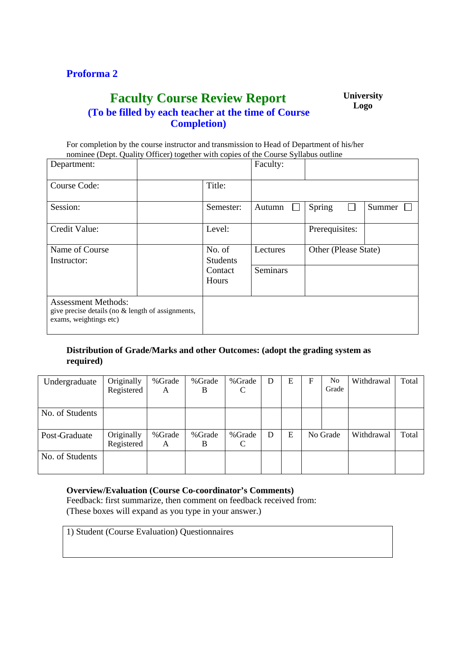## **Proforma 2**

## **Faculty Course Review Report (To be filled by each teacher at the time of Course Completion)**

**University Logo**

For completion by the course instructor and transmission to Head of Department of his/her nominee (Dept. Quality Officer) together with copies of the Course Syllabus outline

| Department:                                                                                               |                           |                  | Faculty:        |                      |        |  |
|-----------------------------------------------------------------------------------------------------------|---------------------------|------------------|-----------------|----------------------|--------|--|
| Course Code:                                                                                              |                           | Title:           |                 |                      |        |  |
| Session:                                                                                                  |                           | Semester:        | Autumn          | Spring               | Summer |  |
| Credit Value:                                                                                             |                           | Level:           |                 | Prerequisites:       |        |  |
| Name of Course<br>Instructor:                                                                             | No. of<br><b>Students</b> |                  | Lectures        | Other (Please State) |        |  |
|                                                                                                           |                           | Contact<br>Hours | <b>Seminars</b> |                      |        |  |
| <b>Assessment Methods:</b><br>give precise details (no & length of assignments,<br>exams, weightings etc) |                           |                  |                 |                      |        |  |

## **Distribution of Grade/Marks and other Outcomes: (adopt the grading system as required)**

| Undergraduate   | Originally<br>Registered | %Grade<br>A | % Grade<br>B | %Grade<br>C  | D | Е | F | N <sub>0</sub><br>Grade | Withdrawal | Total |
|-----------------|--------------------------|-------------|--------------|--------------|---|---|---|-------------------------|------------|-------|
| No. of Students |                          |             |              |              |   |   |   |                         |            |       |
| Post-Graduate   | Originally<br>Registered | %Grade<br>A | %Grade<br>B  | % Grade<br>C | D | Е |   | No Grade                | Withdrawal | Total |
| No. of Students |                          |             |              |              |   |   |   |                         |            |       |

## **Overview/Evaluation (Course Co-coordinator's Comments)**

Feedback: first summarize, then comment on feedback received from: (These boxes will expand as you type in your answer.)

1) Student (Course Evaluation) Questionnaires